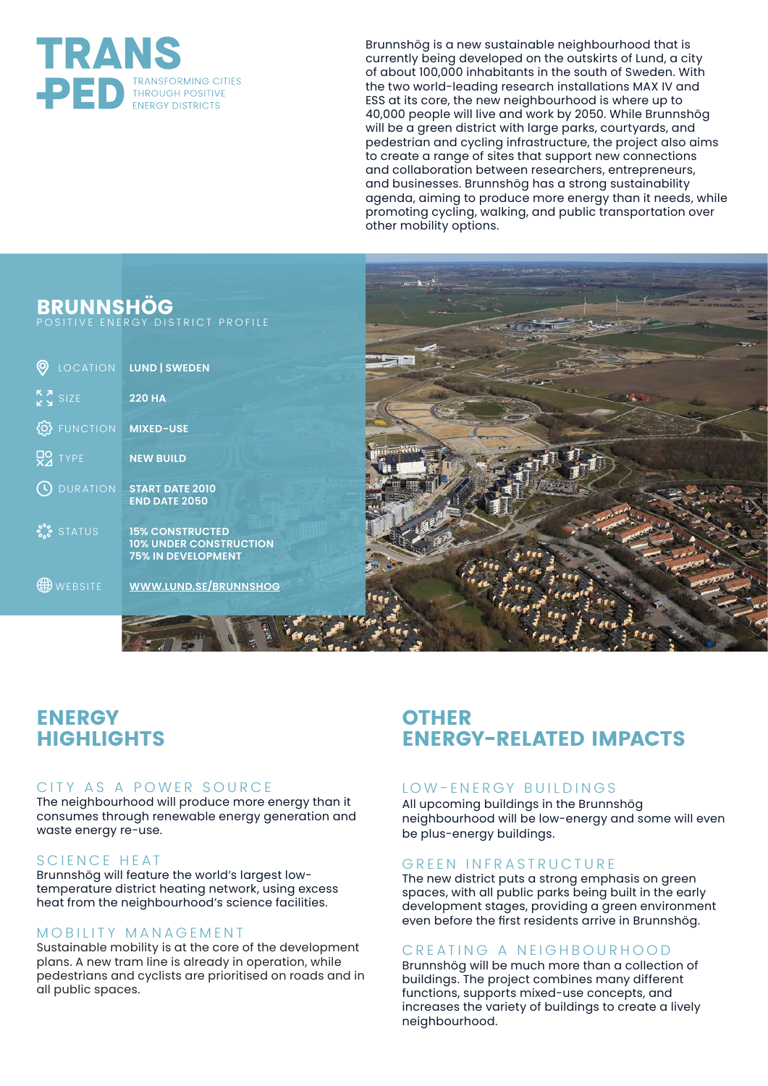

Brunnshög is a new sustainable neighbourhood that is currently being developed on the outskirts of Lund, a city of about 100,000 inhabitants in the south of Sweden. With the two world-leading research installations MAX IV and ESS at its core, the new neighbourhood is where up to 40,000 people will live and work by 2050. While Brunnshög will be a green district with large parks, courtyards, and pedestrian and cycling infrastructure, the project also aims to create a range of sites that support new connections and collaboration between researchers, entrepreneurs, and businesses. Brunnshög has a strong sustainability agenda, aiming to produce more energy than it needs, while promoting cycling, walking, and public transportation over other mobility options.

# **BRUNNSHÖG**

POSITIVE ENERGY DISTRICT PROFILE

| Θ                       | LOCATION LUND   SWEDEN                                                               |
|-------------------------|--------------------------------------------------------------------------------------|
| $\frac{5}{2}$ SIZE      | <b>220 HA</b>                                                                        |
| <b>FUNCTION</b><br>{්ර} | <b>MIXED-USE</b>                                                                     |
| $Q^{\mathsf{Q}}$ TYPE   | <b>NEW BUILD</b>                                                                     |
| <b>O</b> DURATION       | <b>START DATE 2010</b><br><b>END DATE 2050</b>                                       |
| <b>S.S.</b> STATUS      | <b>15% CONSTRUCTED</b><br><b>10% UNDER CONSTRUCTION</b><br><b>75% IN DEVELOPMENT</b> |
| WEBSITE                 | <b>WWW.LUND.SE/BRUNNSHOG</b>                                                         |
|                         |                                                                                      |

 $STTS$ 



# **ENERGY HIGHLIGHTS**

## CITY AS A POWER SOURCE

The neighbourhood will produce more energy than it consumes through renewable energy generation and waste energy re-use.

## SCIENCE HEAT

Brunnshög will feature the world's largest lowtemperature district heating network, using excess heat from the neighbourhood's science facilities.

## MOBILITY MANAGEMENT

Sustainable mobility is at the core of the development plans. A new tram line is already in operation, while pedestrians and cyclists are prioritised on roads and in all public spaces.

## **OTHER ENERGY-RELATED IMPACTS**

## LOW-ENERGY BUILDINGS

All upcoming buildings in the Brunnshög neighbourhood will be low-energy and some will even be plus-energy buildings.

## GREEN INFRASTRUCTURE

The new district puts a strong emphasis on green spaces, with all public parks being built in the early development stages, providing a green environment even before the first residents arrive in Brunnshög.

## CREATING A NEIGHBOURHOOD

Brunnshög will be much more than a collection of buildings. The project combines many different functions, supports mixed-use concepts, and increases the variety of buildings to create a lively neighbourhood.